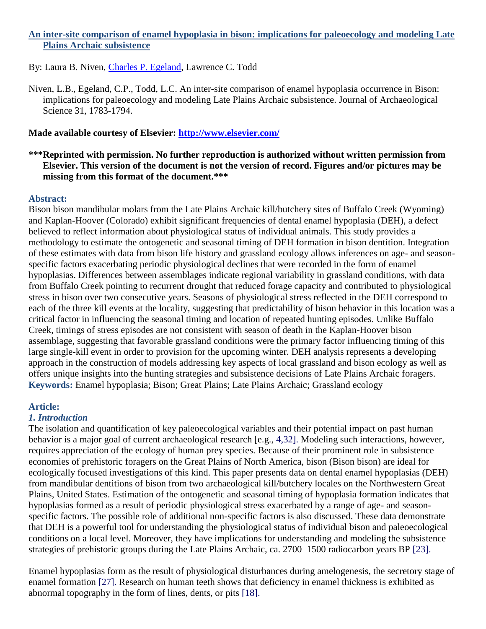# **An inter-site comparison of enamel hypoplasia in bison: implications for paleoecology and modeling Late Plains Archaic subsistence**

By: Laura B. Niven, [Charles P. Egeland,](http://libres.uncg.edu/ir/uncg/clist.aspx?id=3452) Lawrence C. Todd

Niven, L.B., Egeland, C.P., Todd, L.C. An inter-site comparison of enamel hypoplasia occurrence in Bison: implications for paleoecology and modeling Late Plains Archaic subsistence. Journal of Archaeological Science 31, 1783-1794.

### **Made available courtesy of Elsevier:<http://www.elsevier.com/>**

## **\*\*\*Reprinted with permission. No further reproduction is authorized without written permission from Elsevier. This version of the document is not the version of record. Figures and/or pictures may be missing from this format of the document.\*\*\***

### **Abstract:**

Bison bison mandibular molars from the Late Plains Archaic kill/butchery sites of Buffalo Creek (Wyoming) and Kaplan-Hoover (Colorado) exhibit significant frequencies of dental enamel hypoplasia (DEH), a defect believed to reflect information about physiological status of individual animals. This study provides a methodology to estimate the ontogenetic and seasonal timing of DEH formation in bison dentition. Integration of these estimates with data from bison life history and grassland ecology allows inferences on age- and seasonspecific factors exacerbating periodic physiological declines that were recorded in the form of enamel hypoplasias. Differences between assemblages indicate regional variability in grassland conditions, with data from Buffalo Creek pointing to recurrent drought that reduced forage capacity and contributed to physiological stress in bison over two consecutive years. Seasons of physiological stress reflected in the DEH correspond to each of the three kill events at the locality, suggesting that predictability of bison behavior in this location was a critical factor in influencing the seasonal timing and location of repeated hunting episodes. Unlike Buffalo Creek, timings of stress episodes are not consistent with season of death in the Kaplan-Hoover bison assemblage, suggesting that favorable grassland conditions were the primary factor influencing timing of this large single-kill event in order to provision for the upcoming winter. DEH analysis represents a developing approach in the construction of models addressing key aspects of local grassland and bison ecology as well as offers unique insights into the hunting strategies and subsistence decisions of Late Plains Archaic foragers. **Keywords:** Enamel hypoplasia; Bison; Great Plains; Late Plains Archaic; Grassland ecology

### **Article:**

### *1. Introduction*

The isolation and quantification of key paleoecological variables and their potential impact on past human behavior is a major goal of current archaeological research [e.g., 4,32]. Modeling such interactions, however, requires appreciation of the ecology of human prey species. Because of their prominent role in subsistence economies of prehistoric foragers on the Great Plains of North America, bison (Bison bison) are ideal for ecologically focused investigations of this kind. This paper presents data on dental enamel hypoplasias (DEH) from mandibular dentitions of bison from two archaeological kill/butchery locales on the Northwestern Great Plains, United States. Estimation of the ontogenetic and seasonal timing of hypoplasia formation indicates that hypoplasias formed as a result of periodic physiological stress exacerbated by a range of age- and seasonspecific factors. The possible role of additional non-specific factors is also discussed. These data demonstrate that DEH is a powerful tool for understanding the physiological status of individual bison and paleoecological conditions on a local level. Moreover, they have implications for understanding and modeling the subsistence strategies of prehistoric groups during the Late Plains Archaic, ca. 2700–1500 radiocarbon years BP [23].

Enamel hypoplasias form as the result of physiological disturbances during amelogenesis, the secretory stage of enamel formation [27]. Research on human teeth shows that deficiency in enamel thickness is exhibited as abnormal topography in the form of lines, dents, or pits [18].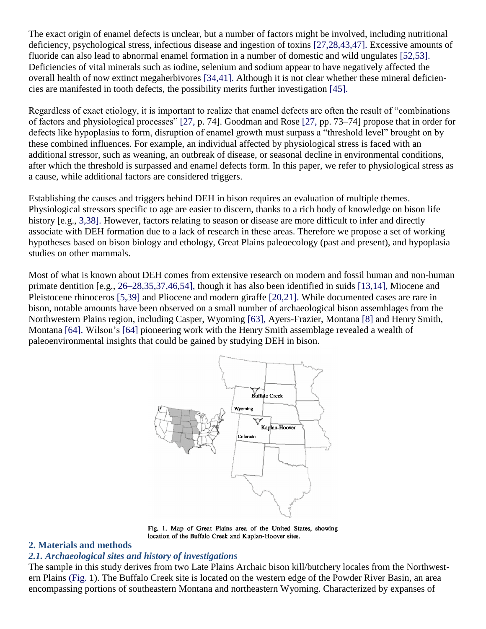The exact origin of enamel defects is unclear, but a number of factors might be involved, including nutritional deficiency, psychological stress, infectious disease and ingestion of toxins [27,28,43,47]. Excessive amounts of fluoride can also lead to abnormal enamel formation in a number of domestic and wild ungulates [52,53]. Deficiencies of vital minerals such as iodine, selenium and sodium appear to have negatively affected the overall health of now extinct megaherbivores [34,41]. Although it is not clear whether these mineral deficiencies are manifested in tooth defects, the possibility merits further investigation [45].

Regardless of exact etiology, it is important to realize that enamel defects are often the result of "combinations" of factors and physiological processes" [27, p. 74]. Goodman and Rose [27, pp. 73–74] propose that in order for defects like hypoplasias to form, disruption of enamel growth must surpass a "threshold level" brought on by these combined influences. For example, an individual affected by physiological stress is faced with an additional stressor, such as weaning, an outbreak of disease, or seasonal decline in environmental conditions, after which the threshold is surpassed and enamel defects form. In this paper, we refer to physiological stress as a cause, while additional factors are considered triggers.

Establishing the causes and triggers behind DEH in bison requires an evaluation of multiple themes. Physiological stressors specific to age are easier to discern, thanks to a rich body of knowledge on bison life history [e.g., 3,38]. However, factors relating to season or disease are more difficult to infer and directly associate with DEH formation due to a lack of research in these areas. Therefore we propose a set of working hypotheses based on bison biology and ethology, Great Plains paleoecology (past and present), and hypoplasia studies on other mammals.

Most of what is known about DEH comes from extensive research on modern and fossil human and non-human primate dentition [e.g., 26–28,35,37,46,54], though it has also been identified in suids [13,14], Miocene and Pleistocene rhinoceros [5,39] and Pliocene and modern giraffe [20,21]. While documented cases are rare in bison, notable amounts have been observed on a small number of archaeological bison assemblages from the Northwestern Plains region, including Casper, Wyoming [63], Ayers-Frazier, Montana [8] and Henry Smith, Montana [64]. Wilson's [64] pioneering work with the Henry Smith assemblage revealed a wealth of paleoenvironmental insights that could be gained by studying DEH in bison.



Fig. 1. Map of Great Plains area of the United States, showing location of the Buffalo Creek and Kaplan-Hoover sites.

### **2. Materials and methods**

### *2.1. Archaeological sites and history of investigations*

The sample in this study derives from two Late Plains Archaic bison kill/butchery locales from the Northwestern Plains (Fig. 1). The Buffalo Creek site is located on the western edge of the Powder River Basin, an area encompassing portions of southeastern Montana and northeastern Wyoming. Characterized by expanses of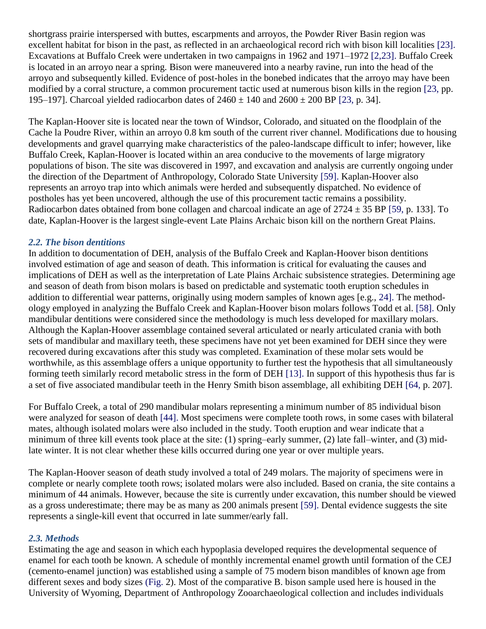shortgrass prairie interspersed with buttes, escarpments and arroyos, the Powder River Basin region was excellent habitat for bison in the past, as reflected in an archaeological record rich with bison kill localities [23]. Excavations at Buffalo Creek were undertaken in two campaigns in 1962 and 1971–1972 [2,23]. Buffalo Creek is located in an arroyo near a spring. Bison were maneuvered into a nearby ravine, run into the head of the arroyo and subsequently killed. Evidence of post-holes in the bonebed indicates that the arroyo may have been modified by a corral structure, a common procurement tactic used at numerous bison kills in the region [23, pp. 195–197]. Charcoal yielded radiocarbon dates of  $2460 \pm 140$  and  $2600 \pm 200$  BP [23, p. 34].

The Kaplan-Hoover site is located near the town of Windsor, Colorado, and situated on the floodplain of the Cache la Poudre River, within an arroyo 0.8 km south of the current river channel. Modifications due to housing developments and gravel quarrying make characteristics of the paleo-landscape difficult to infer; however, like Buffalo Creek, Kaplan-Hoover is located within an area conducive to the movements of large migratory populations of bison. The site was discovered in 1997, and excavation and analysis are currently ongoing under the direction of the Department of Anthropology, Colorado State University [59]. Kaplan-Hoover also represents an arroyo trap into which animals were herded and subsequently dispatched. No evidence of postholes has yet been uncovered, although the use of this procurement tactic remains a possibility. Radiocarbon dates obtained from bone collagen and charcoal indicate an age of  $2724 \pm 35$  BP [59, p. 133]. To date, Kaplan-Hoover is the largest single-event Late Plains Archaic bison kill on the northern Great Plains.

## *2.2. The bison dentitions*

In addition to documentation of DEH, analysis of the Buffalo Creek and Kaplan-Hoover bison dentitions involved estimation of age and season of death. This information is critical for evaluating the causes and implications of DEH as well as the interpretation of Late Plains Archaic subsistence strategies. Determining age and season of death from bison molars is based on predictable and systematic tooth eruption schedules in addition to differential wear patterns, originally using modern samples of known ages [e.g., 24]. The methodology employed in analyzing the Buffalo Creek and Kaplan-Hoover bison molars follows Todd et al. [58]. Only mandibular dentitions were considered since the methodology is much less developed for maxillary molars. Although the Kaplan-Hoover assemblage contained several articulated or nearly articulated crania with both sets of mandibular and maxillary teeth, these specimens have not yet been examined for DEH since they were recovered during excavations after this study was completed. Examination of these molar sets would be worthwhile, as this assemblage offers a unique opportunity to further test the hypothesis that all simultaneously forming teeth similarly record metabolic stress in the form of DEH [13]. In support of this hypothesis thus far is a set of five associated mandibular teeth in the Henry Smith bison assemblage, all exhibiting DEH [64, p. 207].

For Buffalo Creek, a total of 290 mandibular molars representing a minimum number of 85 individual bison were analyzed for season of death [44]. Most specimens were complete tooth rows, in some cases with bilateral mates, although isolated molars were also included in the study. Tooth eruption and wear indicate that a minimum of three kill events took place at the site: (1) spring–early summer, (2) late fall–winter, and (3) midlate winter. It is not clear whether these kills occurred during one year or over multiple years.

The Kaplan-Hoover season of death study involved a total of 249 molars. The majority of specimens were in complete or nearly complete tooth rows; isolated molars were also included. Based on crania, the site contains a minimum of 44 animals. However, because the site is currently under excavation, this number should be viewed as a gross underestimate; there may be as many as 200 animals present [59]. Dental evidence suggests the site represents a single-kill event that occurred in late summer/early fall.

# *2.3. Methods*

Estimating the age and season in which each hypoplasia developed requires the developmental sequence of enamel for each tooth be known. A schedule of monthly incremental enamel growth until formation of the CEJ (cemento-enamel junction) was established using a sample of 75 modern bison mandibles of known age from different sexes and body sizes (Fig. 2). Most of the comparative B. bison sample used here is housed in the University of Wyoming, Department of Anthropology Zooarchaeological collection and includes individuals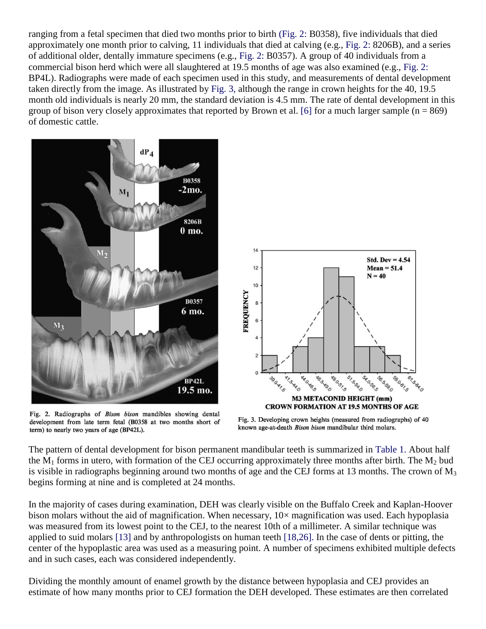ranging from a fetal specimen that died two months prior to birth (Fig. 2: B0358), five individuals that died approximately one month prior to calving, 11 individuals that died at calving (e.g., Fig. 2: 8206B), and a series of additional older, dentally immature specimens (e.g., Fig. 2: B0357). A group of 40 individuals from a commercial bison herd which were all slaughtered at 19.5 months of age was also examined (e.g., Fig. 2: BP4L). Radiographs were made of each specimen used in this study, and measurements of dental development taken directly from the image. As illustrated by Fig. 3, although the range in crown heights for the 40, 19.5 month old individuals is nearly 20 mm, the standard deviation is 4.5 mm. The rate of dental development in this group of bison very closely approximates that reported by Brown et al. [6] for a much larger sample ( $n = 869$ ) of domestic cattle.



Fig. 2. Radiographs of Bison bison mandibles showing dental development from late term fetal (B0358 at two months short of term) to nearly two years of age (BP42L).



67.504.0

Se 0.67.5

The pattern of dental development for bison permanent mandibular teeth is summarized in Table 1. About half the  $M_1$  forms in utero, with formation of the CEJ occurring approximately three months after birth. The  $M_2$  bud is visible in radiographs beginning around two months of age and the CEJ forms at 13 months. The crown of  $M_3$ begins forming at nine and is completed at 24 months.

In the majority of cases during examination, DEH was clearly visible on the Buffalo Creek and Kaplan-Hoover bison molars without the aid of magnification. When necessary,  $10\times$  magnification was used. Each hypoplasia was measured from its lowest point to the CEJ, to the nearest 10th of a millimeter. A similar technique was applied to suid molars [13] and by anthropologists on human teeth [18,26]. In the case of dents or pitting, the center of the hypoplastic area was used as a measuring point. A number of specimens exhibited multiple defects and in such cases, each was considered independently.

Dividing the monthly amount of enamel growth by the distance between hypoplasia and CEJ provides an estimate of how many months prior to CEJ formation the DEH developed. These estimates are then correlated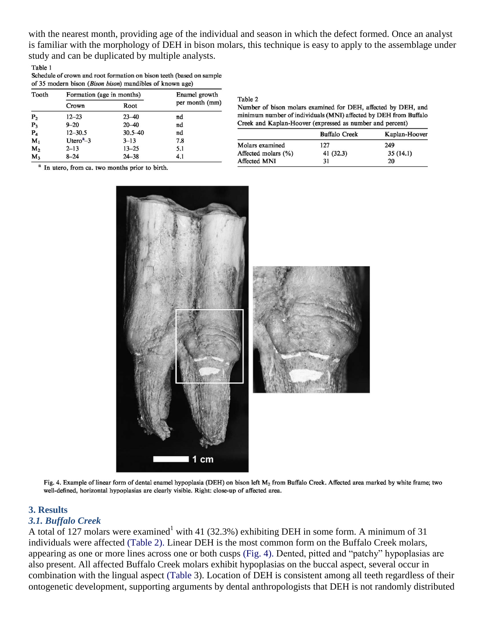with the nearest month, providing age of the individual and season in which the defect formed. Once an analyst is familiar with the morphology of DEH in bison molars, this technique is easy to apply to the assemblage under study and can be duplicated by multiple analysts.

| Table 1 |  |
|---------|--|
|         |  |

| Schedule of crown and root formation on bison teeth (based on sample |  |  |
|----------------------------------------------------------------------|--|--|
| of 35 modern bison ( <i>Bison bison</i> ) mandibles of known age)    |  |  |

| Enamel growth  |  |
|----------------|--|
| per month (mm) |  |
| nd             |  |
| nd             |  |
| nd             |  |
| 7.8            |  |
| 5.1            |  |
| 4.1            |  |
|                |  |

<sup>a</sup> In utero, from ca. two months prior to birth.

Table 2

Number of bison molars examined for DEH, affected by DEH, and minimum number of individuals (MNI) affected by DEH from Buffalo Creek and Kaplan-Hoover (expressed as number and percent)

|                     | <b>Buffalo Creek</b> | Kaplan-Hoover |
|---------------------|----------------------|---------------|
| Molars examined     | 127                  | 249           |
| Affected molars (%) | 41(32.3)             | 35(14.1)      |
| Affected MNI        | 31                   | 20            |



Fig. 4. Example of linear form of dental enamel hypoplasia (DEH) on bison left  $M_2$  from Buffalo Creek. Affected area marked by white frame; two well-defined, horizontal hypoplasias are clearly visible. Right: close-up of affected area.

### **3. Results**

### *3.1. Buffalo Creek*

A total of 127 molars were examined<sup>1</sup> with 41 (32.3%) exhibiting DEH in some form. A minimum of 31 individuals were affected (Table 2). Linear DEH is the most common form on the Buffalo Creek molars, appearing as one or more lines across one or both cusps (Fig. 4). Dented, pitted and "patchy" hypoplasias are also present. All affected Buffalo Creek molars exhibit hypoplasias on the buccal aspect, several occur in combination with the lingual aspect (Table 3). Location of DEH is consistent among all teeth regardless of their ontogenetic development, supporting arguments by dental anthropologists that DEH is not randomly distributed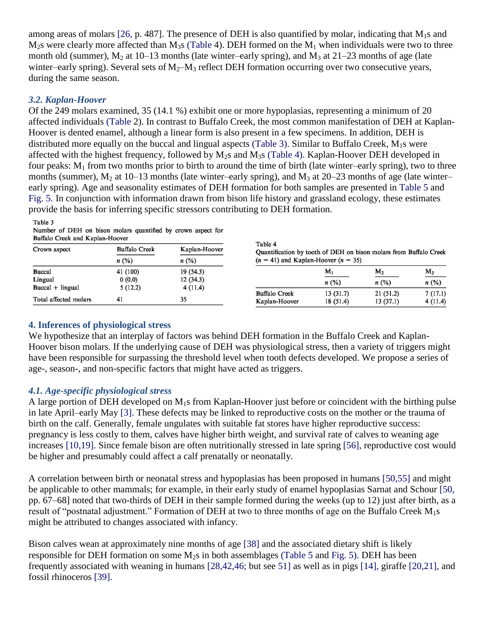among areas of molars [26, p. 487]. The presence of DEH is also quantified by molar, indicating that  $M_1s$  and  $M<sub>2</sub>s$  were clearly more affected than  $M<sub>3</sub>s$  (Table 4). DEH formed on the  $M<sub>1</sub>$  when individuals were two to three month old (summer),  $M_2$  at 10–13 months (late winter–early spring), and  $M_3$  at 21–23 months of age (late winter–early spring). Several sets of  $M_2-M_3$  reflect DEH formation occurring over two consecutive years, during the same season.

# *3.2. Kaplan-Hoover*

Of the 249 molars examined, 35 (14.1 %) exhibit one or more hypoplasias, representing a minimum of 20 affected individuals (Table 2). In contrast to Buffalo Creek, the most common manifestation of DEH at Kaplan-Hoover is dented enamel, although a linear form is also present in a few specimens. In addition, DEH is distributed more equally on the buccal and lingual aspects (Table 3). Similar to Buffalo Creek,  $M_1s$  were affected with the highest frequency, followed by  $M_2s$  and  $M_3s$  (Table 4). Kaplan-Hoover DEH developed in four peaks:  $M_1$  from two months prior to birth to around the time of birth (late winter–early spring), two to three months (summer),  $M_2$  at 10–13 months (late winter–early spring), and  $M_3$  at 20–23 months of age (late winter– early spring). Age and seasonality estimates of DEH formation for both samples are presented in Table 5 and Fig. 5. In conjunction with information drawn from bison life history and grassland ecology, these estimates provide the basis for inferring specific stressors contributing to DEH formation.

#### Table 3

Number of DEH on bison molars quantified by crown aspect for Buffalo Creek and Kaplan-Hoover

| Crown aspect             | <b>Buffalo Creek</b><br>n(%) | Kaplan-Hoover<br>n(%) | Table 4<br>Quantification by tooth of DEH on bison molars from Buffalo Creek<br>$(n = 41)$ and Kaplan-Hoover $(n = 35)$ |               |                        |               |
|--------------------------|------------------------------|-----------------------|-------------------------------------------------------------------------------------------------------------------------|---------------|------------------------|---------------|
| <b>Buccal</b><br>Lingual | 41 (100)<br>0(0.0)           | 19(54.3)<br>12(34.3)  |                                                                                                                         | $M_1$<br>n(%) | M <sub>2</sub><br>n(%) | $M_3$<br>n(%) |
| $Buccal$ + lingual       | 5(12.2)                      | 4(11.4)               | <b>Buffalo Creek</b>                                                                                                    | 13(31.7)      | 21(51.2)               | 7(17.1)       |
| Total affected molars    | 41                           | 35                    | Kaplan-Hoover                                                                                                           | 18(51.4)      | 13(37.1)               | 4(11.4)       |

# **4. Inferences of physiological stress**

We hypothesize that an interplay of factors was behind DEH formation in the Buffalo Creek and Kaplan-Hoover bison molars. If the underlying cause of DEH was physiological stress, then a variety of triggers might have been responsible for surpassing the threshold level when tooth defects developed. We propose a series of age-, season-, and non-specific factors that might have acted as triggers.

# *4.1. Age-specific physiological stress*

A large portion of DEH developed on  $M_1s$  from Kaplan-Hoover just before or coincident with the birthing pulse in late April–early May [3]. These defects may be linked to reproductive costs on the mother or the trauma of birth on the calf. Generally, female ungulates with suitable fat stores have higher reproductive success: pregnancy is less costly to them, calves have higher birth weight, and survival rate of calves to weaning age increases [10,19]. Since female bison are often nutritionally stressed in late spring [56], reproductive cost would be higher and presumably could affect a calf prenatally or neonatally.

A correlation between birth or neonatal stress and hypoplasias has been proposed in humans [50,55] and might be applicable to other mammals; for example, in their early study of enamel hypoplasias Sarnat and Schour [50, pp. 67–68] noted that two-thirds of DEH in their sample formed during the weeks (up to 12) just after birth, as a result of "postnatal adjustment." Formation of DEH at two to three months of age on the Buffalo Creek  $M_1s$ might be attributed to changes associated with infancy.

Bison calves wean at approximately nine months of age [38] and the associated dietary shift is likely responsible for DEH formation on some  $M_2$ s in both assemblages (Table 5 and Fig. 5). DEH has been frequently associated with weaning in humans [28,42,46; but see 51] as well as in pigs [14], giraffe [20,21], and fossil rhinoceros [39].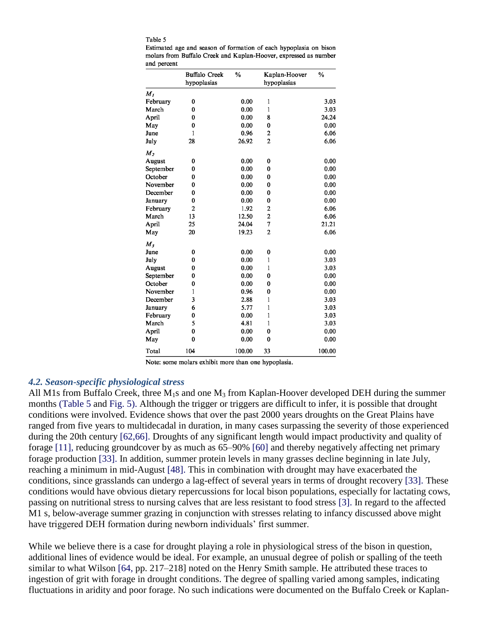#### Table 5

Estimated age and season of formation of each hypoplasia on bison molars from Buffalo Creek and Kaplan-Hoover, expressed as number and percent

|           | <b>Buffalo Creek</b><br>hypoplasias | $\frac{0}{2}$ | Kaplan-Hoover<br>hypoplasias | $\frac{0}{6}$ |
|-----------|-------------------------------------|---------------|------------------------------|---------------|
| $M_I$     |                                     |               |                              |               |
| February  | 0                                   | 0.00          | $\mathbf{1}$                 | 3.03          |
| March     | 0                                   | 0.00          | $\mathbf{1}$                 | 3.03          |
| April     | 0                                   | 0.00          | 8                            | 24.24         |
| May       | 0                                   | 0.00          | 0                            | 0.00          |
| June      | $\mathbf{1}$                        | 0.96          | 2                            | 6.06          |
| July      | 28                                  | 26.92         | $\overline{2}$               | 6.06          |
| М,        |                                     |               |                              |               |
| August    | 0                                   | 0.00          | 0                            | 0.00          |
| September | 0                                   | 0.00          | 0                            | 0.00          |
| October   | 0                                   | 0.00          | 0                            | 0.00          |
| November  | 0                                   | 0.00          | 0                            | 0.00          |
| December  | 0                                   | 0.00          | $\bf{0}$                     | 0.00          |
| January   | 0                                   | 0.00          | 0                            | 0.00          |
| February  | $\overline{c}$                      | 1.92          | 2                            | 6.06          |
| March     | 13                                  | 12.50         | 2                            | 6.06          |
| April     | 25                                  | 24.04         | 7                            | 21,21         |
| May       | 20                                  | 19.23         | $\overline{2}$               | 6.06          |
| $M_{3}$   |                                     |               |                              |               |
| June      | 0                                   | 0.00          | 0                            | 0.00          |
| July      | 0                                   | 0.00          | $\mathbf{1}$                 | 3.03          |
| August    | 0                                   | 0.00          | 1                            | 3.03          |
| September | 0                                   | 0.00          | 0                            | 0.00          |
| October   | 0                                   | 0.00          | 0                            | 0.00          |
| November  | $\mathbf{1}$                        | 0.96          | 0                            | 0.00          |
| December  | 3                                   | 2.88          | 1                            | 3.03          |
| January   | 6                                   | 5.77          | 1                            | 3.03          |
| February  | 0                                   | 0.00          | $\mathbf{1}$                 | 3.03          |
| March     | 5                                   | 4.81          | 1                            | 3.03          |
| April     | 0                                   | 0.00          | $\bf{0}$                     | 0.00          |
| May       | 0                                   | 0.00          | 0                            | 0.00          |
| Total     | 104                                 | 100.00        | 33                           | 100.00        |

Note: some molars exhibit more than one hypoplasia.

### *4.2. Season-specific physiological stress*

All M1s from Buffalo Creek, three  $M_1s$  and one  $M_3$  from Kaplan-Hoover developed DEH during the summer months (Table 5 and Fig. 5). Although the trigger or triggers are difficult to infer, it is possible that drought conditions were involved. Evidence shows that over the past 2000 years droughts on the Great Plains have ranged from five years to multidecadal in duration, in many cases surpassing the severity of those experienced during the 20th century [62,66]. Droughts of any significant length would impact productivity and quality of forage [11], reducing groundcover by as much as 65–90% [60] and thereby negatively affecting net primary forage production [33]. In addition, summer protein levels in many grasses decline beginning in late July, reaching a minimum in mid-August [48]. This in combination with drought may have exacerbated the conditions, since grasslands can undergo a lag-effect of several years in terms of drought recovery [33]. These conditions would have obvious dietary repercussions for local bison populations, especially for lactating cows, passing on nutritional stress to nursing calves that are less resistant to food stress [3]. In regard to the affected M1 s, below-average summer grazing in conjunction with stresses relating to infancy discussed above might have triggered DEH formation during newborn individuals' first summer.

While we believe there is a case for drought playing a role in physiological stress of the bison in question, additional lines of evidence would be ideal. For example, an unusual degree of polish or spalling of the teeth similar to what Wilson [64, pp. 217–218] noted on the Henry Smith sample. He attributed these traces to ingestion of grit with forage in drought conditions. The degree of spalling varied among samples, indicating fluctuations in aridity and poor forage. No such indications were documented on the Buffalo Creek or Kaplan-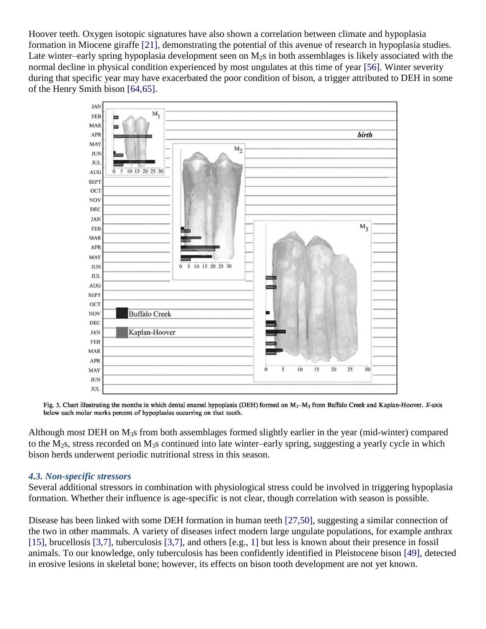Hoover teeth. Oxygen isotopic signatures have also shown a correlation between climate and hypoplasia formation in Miocene giraffe [21], demonstrating the potential of this avenue of research in hypoplasia studies. Late winter–early spring hypoplasia development seen on  $M_2$ s in both assemblages is likely associated with the normal decline in physical condition experienced by most ungulates at this time of year [56]. Winter severity during that specific year may have exacerbated the poor condition of bison, a trigger attributed to DEH in some of the Henry Smith bison [64,65].



Fig. 5. Chart illustrating the months in which dental enamel hypoplasia (DEH) formed on  $M_1-M_3$  from Buffalo Creek and Kaplan-Hoover. X-axis below each molar marks percent of hypoplasias occurring on that tooth.

Although most DEH on M3s from both assemblages formed slightly earlier in the year (mid-winter) compared to the M2s, stress recorded on M3s continued into late winter–early spring, suggesting a yearly cycle in which bison herds underwent periodic nutritional stress in this season.

### *4.3. Non-specific stressors*

Several additional stressors in combination with physiological stress could be involved in triggering hypoplasia formation. Whether their influence is age-specific is not clear, though correlation with season is possible.

Disease has been linked with some DEH formation in human teeth [27,50], suggesting a similar connection of the two in other mammals. A variety of diseases infect modern large ungulate populations, for example anthrax [15], brucellosis [3,7], tuberculosis [3,7], and others [e.g., 1] but less is known about their presence in fossil animals. To our knowledge, only tuberculosis has been confidently identified in Pleistocene bison [49], detected in erosive lesions in skeletal bone; however, its effects on bison tooth development are not yet known.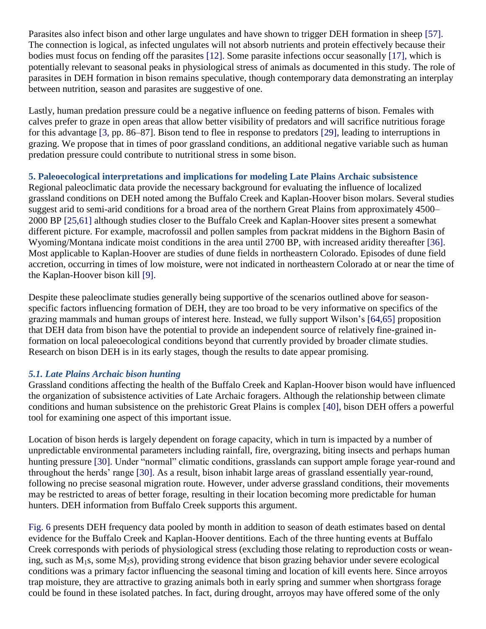Parasites also infect bison and other large ungulates and have shown to trigger DEH formation in sheep [57]. The connection is logical, as infected ungulates will not absorb nutrients and protein effectively because their bodies must focus on fending off the parasites [12]. Some parasite infections occur seasonally [17], which is potentially relevant to seasonal peaks in physiological stress of animals as documented in this study. The role of parasites in DEH formation in bison remains speculative, though contemporary data demonstrating an interplay between nutrition, season and parasites are suggestive of one.

Lastly, human predation pressure could be a negative influence on feeding patterns of bison. Females with calves prefer to graze in open areas that allow better visibility of predators and will sacrifice nutritious forage for this advantage [3, pp. 86–87]. Bison tend to flee in response to predators [29], leading to interruptions in grazing. We propose that in times of poor grassland conditions, an additional negative variable such as human predation pressure could contribute to nutritional stress in some bison.

# **5. Paleoecological interpretations and implications for modeling Late Plains Archaic subsistence**

Regional paleoclimatic data provide the necessary background for evaluating the influence of localized grassland conditions on DEH noted among the Buffalo Creek and Kaplan-Hoover bison molars. Several studies suggest arid to semi-arid conditions for a broad area of the northern Great Plains from approximately 4500– 2000 BP [25,61] although studies closer to the Buffalo Creek and Kaplan-Hoover sites present a somewhat different picture. For example, macrofossil and pollen samples from packrat middens in the Bighorn Basin of Wyoming/Montana indicate moist conditions in the area until 2700 BP, with increased aridity thereafter [36]. Most applicable to Kaplan-Hoover are studies of dune fields in northeastern Colorado. Episodes of dune field accretion, occurring in times of low moisture, were not indicated in northeastern Colorado at or near the time of the Kaplan-Hoover bison kill [9].

Despite these paleoclimate studies generally being supportive of the scenarios outlined above for seasonspecific factors influencing formation of DEH, they are too broad to be very informative on specifics of the grazing mammals and human groups of interest here. Instead, we fully support Wilson's [64,65] proposition that DEH data from bison have the potential to provide an independent source of relatively fine-grained information on local paleoecological conditions beyond that currently provided by broader climate studies. Research on bison DEH is in its early stages, though the results to date appear promising.

# *5.1. Late Plains Archaic bison hunting*

Grassland conditions affecting the health of the Buffalo Creek and Kaplan-Hoover bison would have influenced the organization of subsistence activities of Late Archaic foragers. Although the relationship between climate conditions and human subsistence on the prehistoric Great Plains is complex [40], bison DEH offers a powerful tool for examining one aspect of this important issue.

Location of bison herds is largely dependent on forage capacity, which in turn is impacted by a number of unpredictable environmental parameters including rainfall, fire, overgrazing, biting insects and perhaps human hunting pressure [30]. Under "normal" climatic conditions, grasslands can support ample forage year-round and throughout the herds' range [30]. As a result, bison inhabit large areas of grassland essentially year-round, following no precise seasonal migration route. However, under adverse grassland conditions, their movements may be restricted to areas of better forage, resulting in their location becoming more predictable for human hunters. DEH information from Buffalo Creek supports this argument.

Fig. 6 presents DEH frequency data pooled by month in addition to season of death estimates based on dental evidence for the Buffalo Creek and Kaplan-Hoover dentitions. Each of the three hunting events at Buffalo Creek corresponds with periods of physiological stress (excluding those relating to reproduction costs or weaning, such as  $M_1s$ , some  $M_2s$ ), providing strong evidence that bison grazing behavior under severe ecological conditions was a primary factor influencing the seasonal timing and location of kill events here. Since arroyos trap moisture, they are attractive to grazing animals both in early spring and summer when shortgrass forage could be found in these isolated patches. In fact, during drought, arroyos may have offered some of the only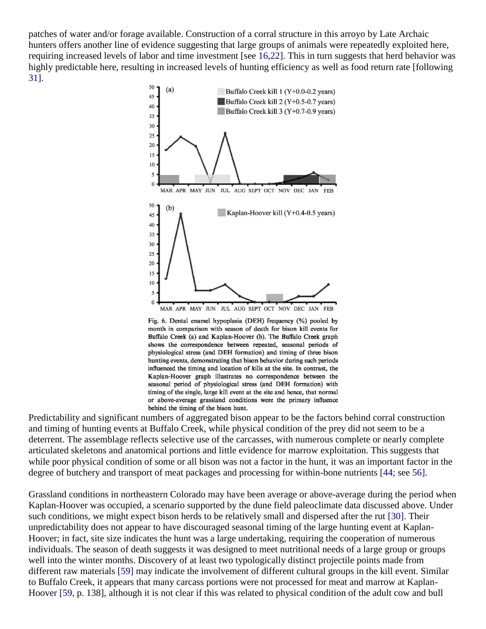patches of water and/or forage available. Construction of a corral structure in this arroyo by Late Archaic hunters offers another line of evidence suggesting that large groups of animals were repeatedly exploited here, requiring increased levels of labor and time investment [see 16,22]. This in turn suggests that herd behavior was highly predictable here, resulting in increased levels of hunting efficiency as well as food return rate [following 31].



MAR APR MAY JUN JUL AUG SEPT OCT NOV DEC JAN

Fig. 6. Dental enamel hypoplasia (DEH) frequency (%) pooled by month in comparison with season of death for bison kill events for Buffalo Creek (a) and Kaplan-Hoover (b). The Buffalo Creek graph shows the correspondence between repeated, seasonal periods of physiological stress (and DEH formation) and timing of three bison hunting events, demonstrating that bison behavior during such periods influenced the timing and location of kills at the site. In contrast, the Kaplan-Hoover graph illustrates no correspondence between the seasonal period of physiological stress (and DEH formation) with timing of the single, large kill event at the site and hence, that normal or above-average grassland conditions were the primary influence behind the timing of the bison hunt.

Predictability and significant numbers of aggregated bison appear to be the factors behind corral construction and timing of hunting events at Buffalo Creek, while physical condition of the prey did not seem to be a deterrent. The assemblage reflects selective use of the carcasses, with numerous complete or nearly complete articulated skeletons and anatomical portions and little evidence for marrow exploitation. This suggests that while poor physical condition of some or all bison was not a factor in the hunt, it was an important factor in the degree of butchery and transport of meat packages and processing for within-bone nutrients [44; see 56].

Grassland conditions in northeastern Colorado may have been average or above-average during the period when Kaplan-Hoover was occupied, a scenario supported by the dune field paleoclimate data discussed above. Under such conditions, we might expect bison herds to be relatively small and dispersed after the rut [30]. Their unpredictability does not appear to have discouraged seasonal timing of the large hunting event at Kaplan-Hoover; in fact, site size indicates the hunt was a large undertaking, requiring the cooperation of numerous individuals. The season of death suggests it was designed to meet nutritional needs of a large group or groups well into the winter months. Discovery of at least two typologically distinct projectile points made from different raw materials [59] may indicate the involvement of different cultural groups in the kill event. Similar to Buffalo Creek, it appears that many carcass portions were not processed for meat and marrow at Kaplan-Hoover [59, p. 138], although it is not clear if this was related to physical condition of the adult cow and bull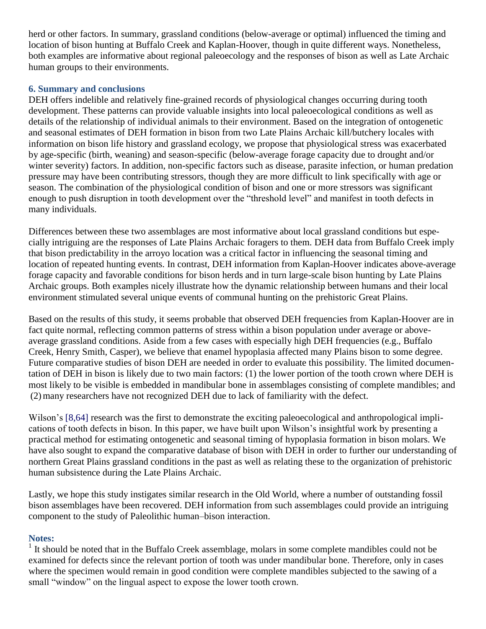herd or other factors. In summary, grassland conditions (below-average or optimal) influenced the timing and location of bison hunting at Buffalo Creek and Kaplan-Hoover, though in quite different ways. Nonetheless, both examples are informative about regional paleoecology and the responses of bison as well as Late Archaic human groups to their environments.

## **6. Summary and conclusions**

DEH offers indelible and relatively fine-grained records of physiological changes occurring during tooth development. These patterns can provide valuable insights into local paleoecological conditions as well as details of the relationship of individual animals to their environment. Based on the integration of ontogenetic and seasonal estimates of DEH formation in bison from two Late Plains Archaic kill/butchery locales with information on bison life history and grassland ecology, we propose that physiological stress was exacerbated by age-specific (birth, weaning) and season-specific (below-average forage capacity due to drought and/or winter severity) factors. In addition, non-specific factors such as disease, parasite infection, or human predation pressure may have been contributing stressors, though they are more difficult to link specifically with age or season. The combination of the physiological condition of bison and one or more stressors was significant enough to push disruption in tooth development over the "threshold level" and manifest in tooth defects in many individuals.

Differences between these two assemblages are most informative about local grassland conditions but especially intriguing are the responses of Late Plains Archaic foragers to them. DEH data from Buffalo Creek imply that bison predictability in the arroyo location was a critical factor in influencing the seasonal timing and location of repeated hunting events. In contrast, DEH information from Kaplan-Hoover indicates above-average forage capacity and favorable conditions for bison herds and in turn large-scale bison hunting by Late Plains Archaic groups. Both examples nicely illustrate how the dynamic relationship between humans and their local environment stimulated several unique events of communal hunting on the prehistoric Great Plains.

Based on the results of this study, it seems probable that observed DEH frequencies from Kaplan-Hoover are in fact quite normal, reflecting common patterns of stress within a bison population under average or aboveaverage grassland conditions. Aside from a few cases with especially high DEH frequencies (e.g., Buffalo Creek, Henry Smith, Casper), we believe that enamel hypoplasia affected many Plains bison to some degree. Future comparative studies of bison DEH are needed in order to evaluate this possibility. The limited documentation of DEH in bison is likely due to two main factors: (1) the lower portion of the tooth crown where DEH is most likely to be visible is embedded in mandibular bone in assemblages consisting of complete mandibles; and (2)many researchers have not recognized DEH due to lack of familiarity with the defect.

Wilson's [8,64] research was the first to demonstrate the exciting paleoecological and anthropological implications of tooth defects in bison. In this paper, we have built upon Wilson's insightful work by presenting a practical method for estimating ontogenetic and seasonal timing of hypoplasia formation in bison molars. We have also sought to expand the comparative database of bison with DEH in order to further our understanding of northern Great Plains grassland conditions in the past as well as relating these to the organization of prehistoric human subsistence during the Late Plains Archaic.

Lastly, we hope this study instigates similar research in the Old World, where a number of outstanding fossil bison assemblages have been recovered. DEH information from such assemblages could provide an intriguing component to the study of Paleolithic human–bison interaction.

### **Notes:**

<sup>1</sup> It should be noted that in the Buffalo Creek assemblage, molars in some complete mandibles could not be examined for defects since the relevant portion of tooth was under mandibular bone. Therefore, only in cases where the specimen would remain in good condition were complete mandibles subjected to the sawing of a small "window" on the lingual aspect to expose the lower tooth crown.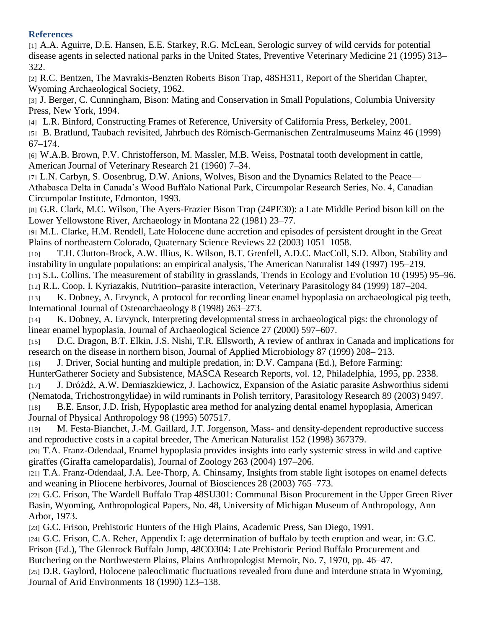# **References**

[1] A.A. Aguirre, D.E. Hansen, E.E. Starkey, R.G. McLean, Serologic survey of wild cervids for potential disease agents in selected national parks in the United States, Preventive Veterinary Medicine 21 (1995) 313– 322.

[2] R.C. Bentzen, The Mavrakis-Benzten Roberts Bison Trap, 48SH311, Report of the Sheridan Chapter, Wyoming Archaeological Society, 1962.

[3] J. Berger, C. Cunningham, Bison: Mating and Conservation in Small Populations, Columbia University Press, New York, 1994.

[4] L.R. Binford, Constructing Frames of Reference, University of California Press, Berkeley, 2001.

[5] B. Bratlund, Taubach revisited, Jahrbuch des Römisch-Germanischen Zentralmuseums Mainz 46 (1999) 67–174.

[6] W.A.B. Brown, P.V. Christofferson, M. Massler, M.B. Weiss, Postnatal tooth development in cattle, American Journal of Veterinary Research 21 (1960) 7–34.

[7] L.N. Carbyn, S. Oosenbrug, D.W. Anions, Wolves, Bison and the Dynamics Related to the Peace— Athabasca Delta in Canada's Wood Buffalo National Park, Circumpolar Research Series, No. 4, Canadian Circumpolar Institute, Edmonton, 1993.

[8] G.R. Clark, M.C. Wilson, The Ayers-Frazier Bison Trap (24PE30): a Late Middle Period bison kill on the Lower Yellowstone River, Archaeology in Montana 22 (1981) 23–77.

[9] M.L. Clarke, H.M. Rendell, Late Holocene dune accretion and episodes of persistent drought in the Great Plains of northeastern Colorado, Quaternary Science Reviews 22 (2003) 1051–1058.

[10] T.H. Clutton-Brock, A.W. Illius, K. Wilson, B.T. Grenfell, A.D.C. MacColl, S.D. Albon, Stability and instability in ungulate populations: an empirical analysis, The American Naturalist 149 (1997) 195–219.

[11] S.L. Collins, The measurement of stability in grasslands, Trends in Ecology and Evolution 10 (1995) 95–96. [12] R.L. Coop, I. Kyriazakis, Nutrition–parasite interaction, Veterinary Parasitology 84 (1999) 187–204.

[13] K. Dobney, A. Ervynck, A protocol for recording linear enamel hypoplasia on archaeological pig teeth, International Journal of Osteoarchaeology 8 (1998) 263–273.

[14] K. Dobney, A. Ervynck, Interpreting developmental stress in archaeological pigs: the chronology of linear enamel hypoplasia, Journal of Archaeological Science 27 (2000) 597–607.

[15] D.C. Dragon, B.T. Elkin, J.S. Nishi, T.R. Ellsworth, A review of anthrax in Canada and implications for research on the disease in northern bison, Journal of Applied Microbiology 87 (1999) 208– 213.

[16] J. Driver, Social hunting and multiple predation, in: D.V. Campana (Ed.), Before Farming: HunterGatherer Society and Subsistence, MASCA Research Reports, vol. 12, Philadelphia, 1995, pp. 2338.

[17] J. Dróżdż, A.W. Demiaszkiewicz, J. Lachowicz, Expansion of the Asiatic parasite Ashworthius sidemi (Nematoda, Trichostrongylidae) in wild ruminants in Polish territory, Parasitology Research 89 (2003) 9497.

[18] B.E. Ensor, J.D. Irish, Hypoplastic area method for analyzing dental enamel hypoplasia, American Journal of Physical Anthropology 98 (1995) 507517.

[19] M. Festa-Bianchet, J.-M. Gaillard, J.T. Jorgenson, Mass- and density-dependent reproductive success and reproductive costs in a capital breeder, The American Naturalist 152 (1998) 367379.

[20] T.A. Franz-Odendaal, Enamel hypoplasia provides insights into early systemic stress in wild and captive giraffes (Giraffa camelopardalis), Journal of Zoology 263 (2004) 197–206.

[21] T.A. Franz-Odendaal, J.A. Lee-Thorp, A. Chinsamy, Insights from stable light isotopes on enamel defects and weaning in Pliocene herbivores, Journal of Biosciences 28 (2003) 765–773.

[22] G.C. Frison, The Wardell Buffalo Trap 48SU301: Communal Bison Procurement in the Upper Green River Basin, Wyoming, Anthropological Papers, No. 48, University of Michigan Museum of Anthropology, Ann Arbor, 1973.

[23] G.C. Frison, Prehistoric Hunters of the High Plains, Academic Press, San Diego, 1991.

[24] G.C. Frison, C.A. Reher, Appendix I: age determination of buffalo by teeth eruption and wear, in: G.C. Frison (Ed.), The Glenrock Buffalo Jump, 48CO304: Late Prehistoric Period Buffalo Procurement and Butchering on the Northwestern Plains, Plains Anthropologist Memoir, No. 7, 1970, pp. 46–47.

[25] D.R. Gaylord, Holocene paleoclimatic fluctuations revealed from dune and interdune strata in Wyoming, Journal of Arid Environments 18 (1990) 123–138.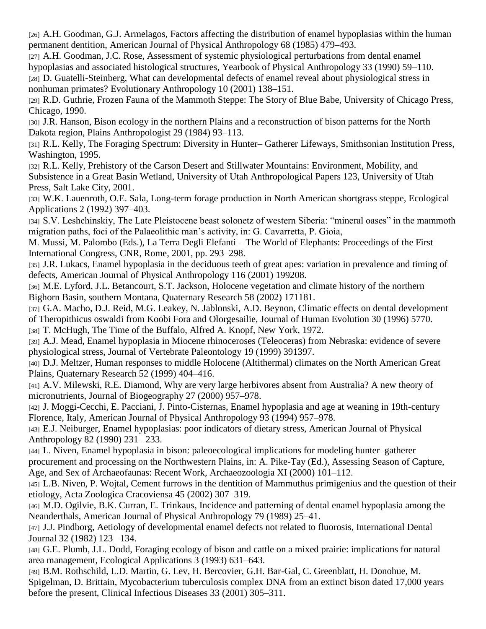[26] A.H. Goodman, G.J. Armelagos, Factors affecting the distribution of enamel hypoplasias within the human permanent dentition, American Journal of Physical Anthropology 68 (1985) 479–493.

[27] A.H. Goodman, J.C. Rose, Assessment of systemic physiological perturbations from dental enamel hypoplasias and associated histological structures, Yearbook of Physical Anthropology 33 (1990) 59–110. [28] D. Guatelli-Steinberg, What can developmental defects of enamel reveal about physiological stress in nonhuman primates? Evolutionary Anthropology 10 (2001) 138–151.

[29] R.D. Guthrie, Frozen Fauna of the Mammoth Steppe: The Story of Blue Babe, University of Chicago Press, Chicago, 1990.

[30] J.R. Hanson, Bison ecology in the northern Plains and a reconstruction of bison patterns for the North Dakota region, Plains Anthropologist 29 (1984) 93–113.

[31] R.L. Kelly, The Foraging Spectrum: Diversity in Hunter– Gatherer Lifeways, Smithsonian Institution Press, Washington, 1995.

[32] R.L. Kelly, Prehistory of the Carson Desert and Stillwater Mountains: Environment, Mobility, and Subsistence in a Great Basin Wetland, University of Utah Anthropological Papers 123, University of Utah Press, Salt Lake City, 2001.

[33] W.K. Lauenroth, O.E. Sala, Long-term forage production in North American shortgrass steppe, Ecological Applications 2 (1992) 397–403.

[34] S.V. Leshchinskiy, The Late Pleistocene beast solonetz of western Siberia: "mineral oases" in the mammoth migration paths, foci of the Palaeolithic man's activity, in: G. Cavarretta, P. Gioia,

M. Mussi, M. Palombo (Eds.), La Terra Degli Elefanti – The World of Elephants: Proceedings of the First International Congress, CNR, Rome, 2001, pp. 293–298.

[35] J.R. Lukacs, Enamel hypoplasia in the deciduous teeth of great apes: variation in prevalence and timing of defects, American Journal of Physical Anthropology 116 (2001) 199208.

[36] M.E. Lyford, J.L. Betancourt, S.T. Jackson, Holocene vegetation and climate history of the northern Bighorn Basin, southern Montana, Quaternary Research 58 (2002) 171181.

[37] G.A. Macho, D.J. Reid, M.G. Leakey, N. Jablonski, A.D. Beynon, Climatic effects on dental development of Theropithicus oswaldi from Koobi Fora and Olorgesailie, Journal of Human Evolution 30 (1996) 5770. [38] T. McHugh, The Time of the Buffalo, Alfred A. Knopf, New York, 1972.

[39] A.J. Mead, Enamel hypoplasia in Miocene rhinoceroses (Teleoceras) from Nebraska: evidence of severe physiological stress, Journal of Vertebrate Paleontology 19 (1999) 391397.

[40] D.J. Meltzer, Human responses to middle Holocene (Altithermal) climates on the North American Great Plains, Quaternary Research 52 (1999) 404–416.

[41] A.V. Milewski, R.E. Diamond, Why are very large herbivores absent from Australia? A new theory of micronutrients, Journal of Biogeography 27 (2000) 957–978.

[42] J. Moggi-Cecchi, E. Pacciani, J. Pinto-Cisternas, Enamel hypoplasia and age at weaning in 19th-century Florence, Italy, American Journal of Physical Anthropology 93 (1994) 957–978.

[43] E.J. Neiburger, Enamel hypoplasias: poor indicators of dietary stress, American Journal of Physical Anthropology 82 (1990) 231– 233.

[44] L. Niven, Enamel hypoplasia in bison: paleoecological implications for modeling hunter–gatherer procurement and processing on the Northwestern Plains, in: A. Pike-Tay (Ed.), Assessing Season of Capture, Age, and Sex of Archaeofaunas: Recent Work, Archaeozoologia XI (2000) 101–112.

[45] L.B. Niven, P. Wojtal, Cement furrows in the dentition of Mammuthus primigenius and the question of their etiology, Acta Zoologica Cracoviensa 45 (2002) 307–319.

[46] M.D. Ogilvie, B.K. Curran, E. Trinkaus, Incidence and patterning of dental enamel hypoplasia among the Neanderthals, American Journal of Physical Anthropology 79 (1989) 25–41.

[47] J.J. Pindborg, Aetiology of developmental enamel defects not related to fluorosis, International Dental Journal 32 (1982) 123– 134.

[48] G.E. Plumb, J.L. Dodd, Foraging ecology of bison and cattle on a mixed prairie: implications for natural area management, Ecological Applications 3 (1993) 631–643.

[49] B.M. Rothschild, L.D. Martin, G. Lev, H. Bercovier, G.H. Bar-Gal, C. Greenblatt, H. Donohue, M. Spigelman, D. Brittain, Mycobacterium tuberculosis complex DNA from an extinct bison dated 17,000 years before the present, Clinical Infectious Diseases 33 (2001) 305–311.